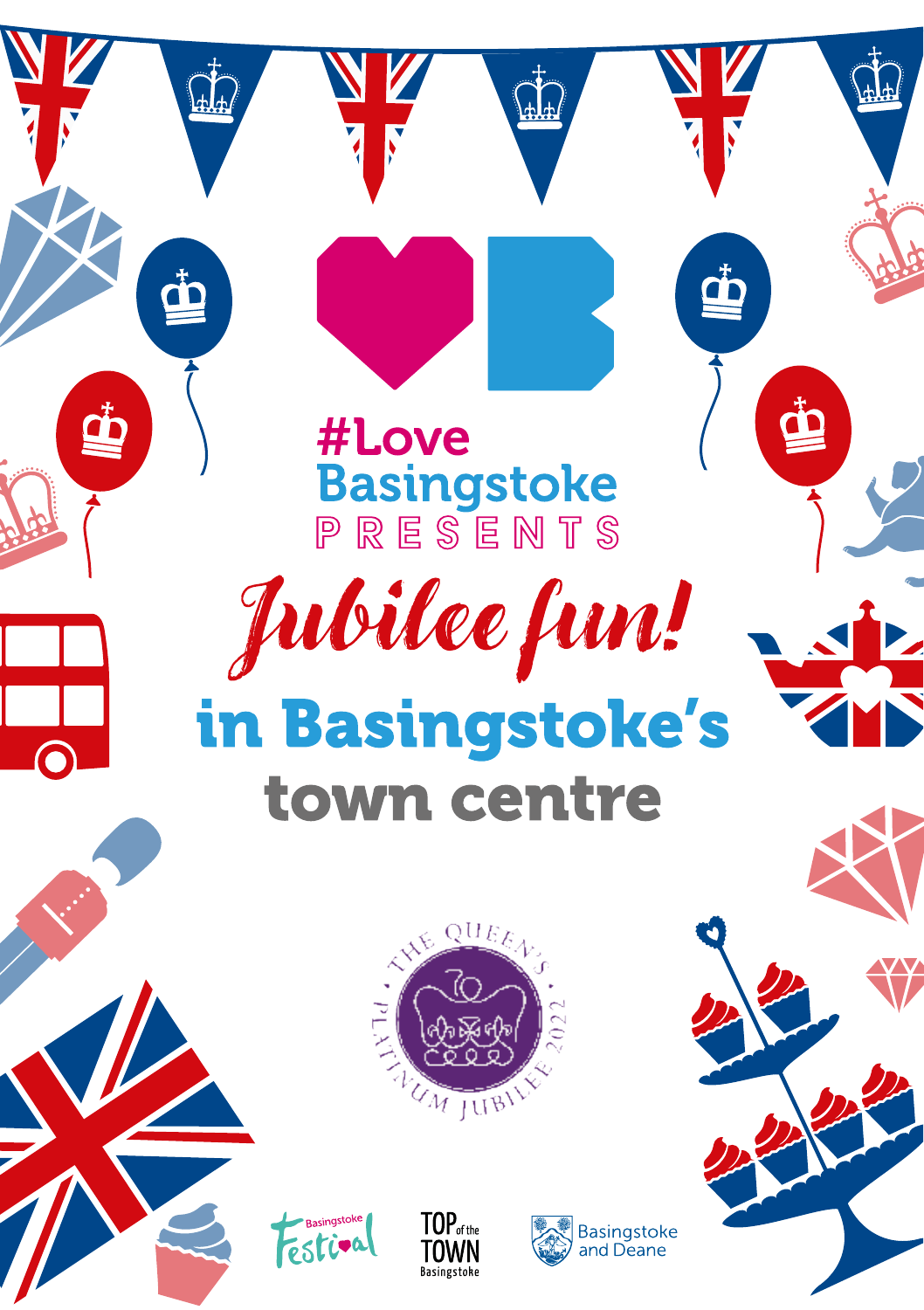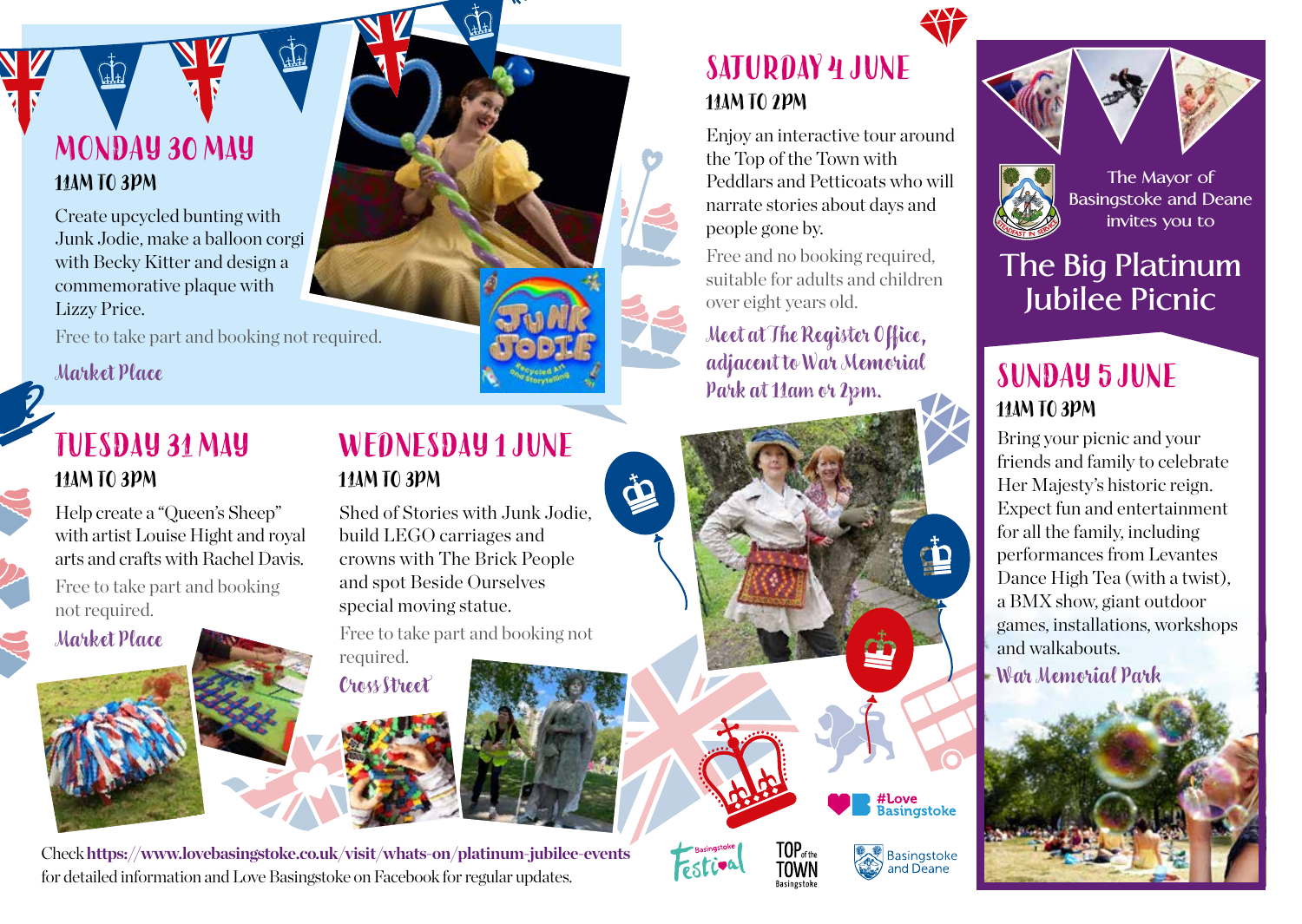#### **MONDAY 30 MAY 11AM TO 3PM**

Create upcycled bunting with Junk Jodie, make a balloon corgi with Becky Kitter and design a commemorative plaque with Lizzy Price.

Free to take part and booking not required.

#### **Market Place**

#### **TUESDAY 31 MAY 11AM TO 3PM**

Help create a "Queen's Sheep" with artist Louise Hight and royal arts and crafts with Rachel Davis. Free to take part and booking not required.

**Market Place**

#### **WEDNESDAY 1 JUNE 11AM TO 3PM**

Shed of Stories with Junk Jodie, build LEGO carriages and crowns with The Brick People and spot Beside Ourselves special moving statue.

 $\ddot{\Phi}$ 

Free to take part and booking not required.

**Cross Street**



### **SATURDAY 4 JUNE 11AM TO 2PM**

Enjoy an interactive tour around the Top of the Town with Peddlars and Petticoats who will narrate stories about days and people gone by.

Free and no booking required, suitable for adults and children over eight years old.

**Meet at The Register Office, adjacent to War Memorial Park at 11am or 2pm. SUNDAY 5 JUNE**

**TOP**<sub>of the</sub><br>TOWN

*<u>Fastiv</u>* 

#Love<br>Basingstoke

Basingstoke<br>and Deane





**Basingstoke and Deane invites you to**

### **The Big Platinum Jubilee Picnic**

## **11AM TO 3PM**

Bring your picnic and your friends and family to celebrate Her Majesty's historic reign. Expect fun and entertainment for all the family, including performances from Levantes Dance High Tea (with a twist), a BMX show, giant outdoor games, installations, workshops and walkabouts.

**War Memorial Park**